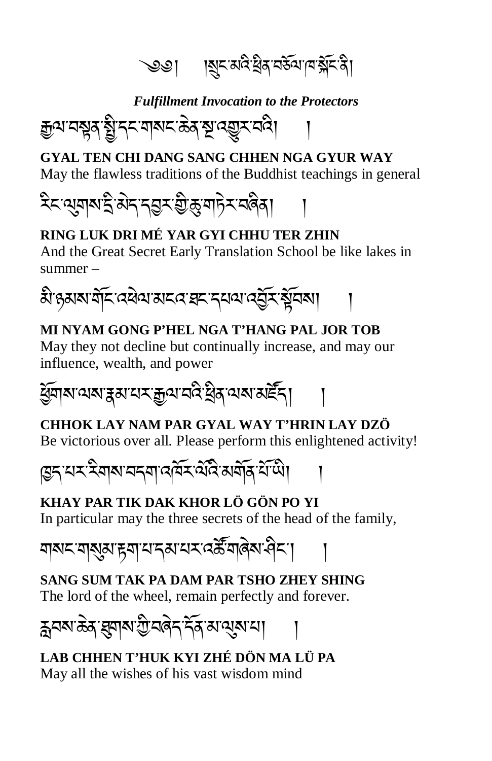্��। । ।য়ৄৼৼড়ৢৼৢয়ৼ৸ড়ৢৼ৸ড়৾ৼয়ৢ৾ৼৠ

*Fulfillment Invocation to the Protectors*

�ལ་བ�ན་�ི་དང་གསང་ཆེན་�་འ��ར་བའི། །

**GYAL TEN CHI DANG SANG CHHEN NGA GYUR WAY** May the flawless traditions of the Buddhist teachings in general

২িন্থেনামাই ঝন্দর্ভ্রম গ্রীক্সমাদিম নৰিব।

### **RING LUK DRI MÉ YAR GYI CHHU TER ZHIN**

And the Great Secret Early Translation School be like lakes in summer –



### **MI NYAM GONG P'HEL NGA T'HANG PAL JOR TOB**

May they not decline but continually increase, and may our influence, wealth, and power



### **CHHOK LAY NAM PAR GYAL WAY T'HRIN LAY DZÖ**

Be victorious over all. Please perform this enlightened activity!

দ্ভিন মম্মীৰাম নৰ্মা বৰ্মিম এবি মৰ্মান যাঁথী।

**KHAY PAR TIK DAK KHOR LÖ GÖN PO YI** In particular may the three secrets of the head of the family,

য়ঝমসমুঝামুমামান্কামমস্ক্রীমাৰ্কামী

**SANG SUM TAK PA DAM PAR TSHO ZHEY SHING** The lord of the wheel, remain perfectly and forever.

হ্ননম ক্ক ব্ৰ্মাম শ্ৰীনৰ্ন দৰ্শ মান্মুমান।

**LAB CHHEN T'HUK KYI ZHÉ DÖN MA LÜ PA** May all the wishes of his vast wisdom mind